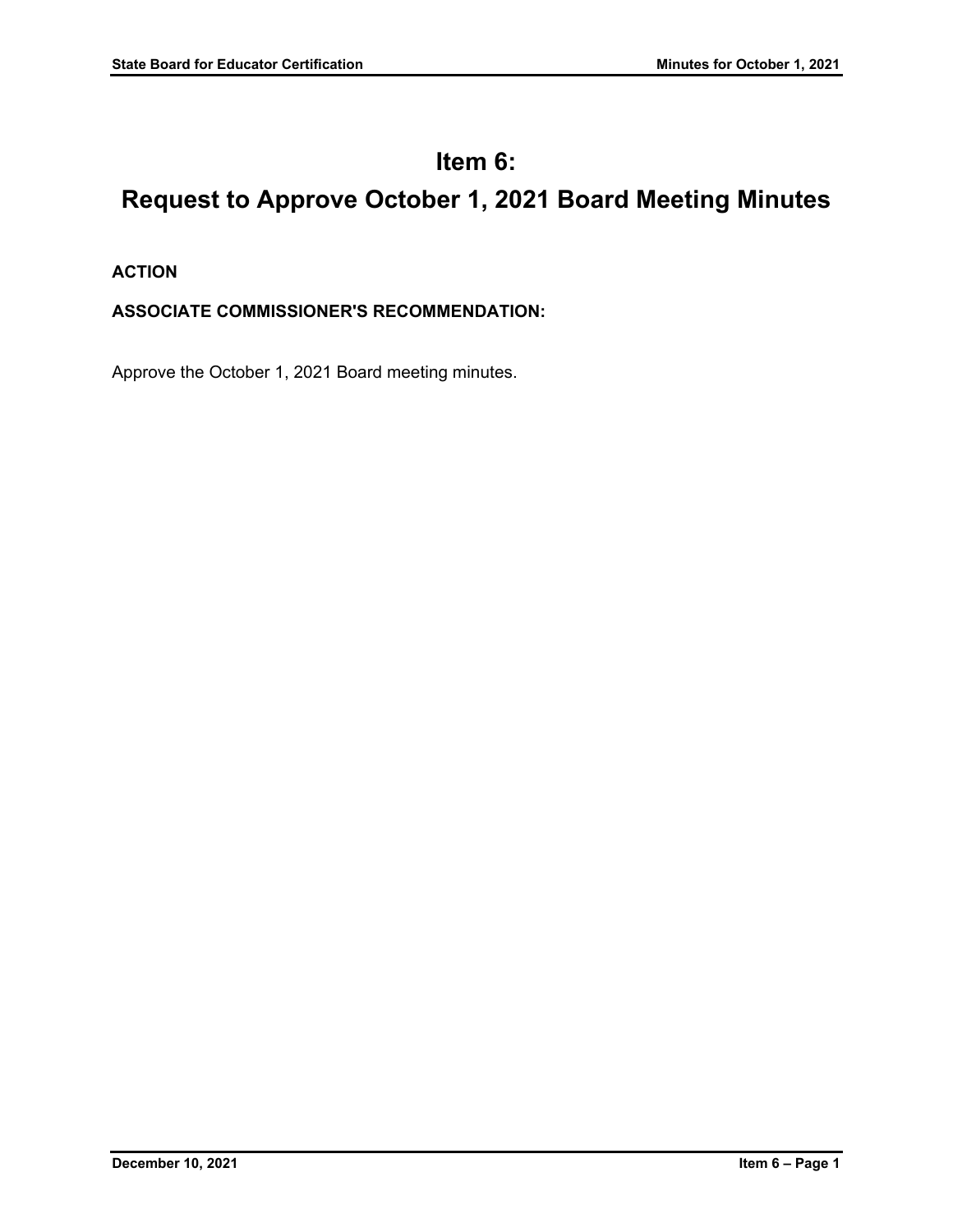# **Item 6: Request to Approve October 1, 2021 Board Meeting Minutes**

# **ACTION**

# **ASSOCIATE COMMISSIONER'S RECOMMENDATION:**

Approve the October 1, 2021 Board meeting minutes.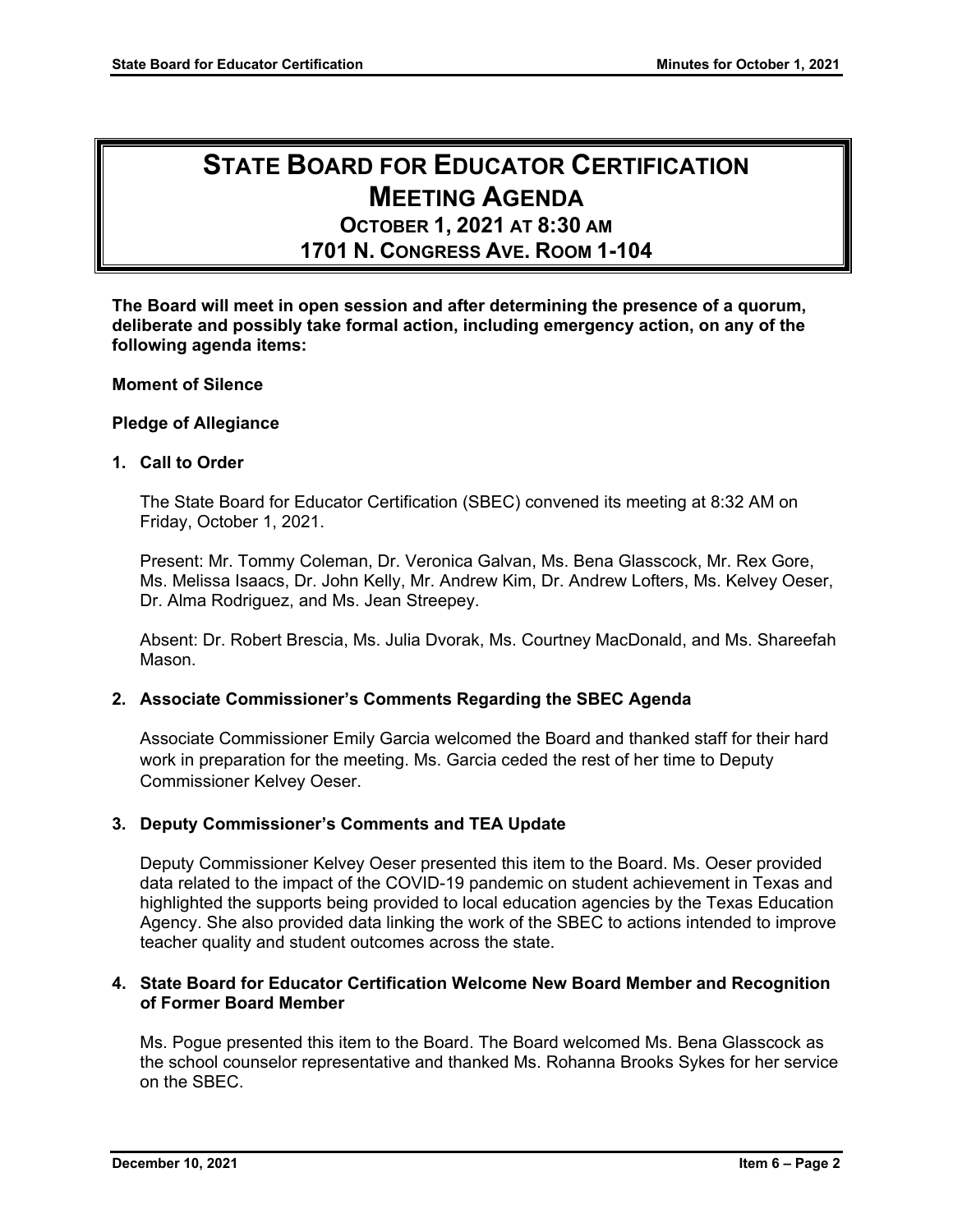# **STATE BOARD FOR EDUCATOR CERTIFICATION MEETING AGENDA**

**OCTOBER 1, 2021 AT 8:30 AM 1701 N. CONGRESS AVE. ROOM 1-104** 

**The Board will meet in open session and after determining the presence of a quorum, deliberate and possibly take formal action, including emergency action, on any of the following agenda items:**

#### **Moment of Silence**

#### **Pledge of Allegiance**

#### **1. Call to Order**

The State Board for Educator Certification (SBEC) convened its meeting at 8:32 AM on Friday, October 1, 2021.

Present: Mr. Tommy Coleman, Dr. Veronica Galvan, Ms. Bena Glasscock, Mr. Rex Gore, Ms. Melissa Isaacs, Dr. John Kelly, Mr. Andrew Kim, Dr. Andrew Lofters, Ms. Kelvey Oeser, Dr. Alma Rodriguez, and Ms. Jean Streepey.

Absent: Dr. Robert Brescia, Ms. Julia Dvorak, Ms. Courtney MacDonald, and Ms. Shareefah Mason.

#### **2. Associate Commissioner's Comments Regarding the SBEC Agenda**

Associate Commissioner Emily Garcia welcomed the Board and thanked staff for their hard work in preparation for the meeting. Ms. Garcia ceded the rest of her time to Deputy Commissioner Kelvey Oeser.

#### **3. Deputy Commissioner's Comments and TEA Update**

Deputy Commissioner Kelvey Oeser presented this item to the Board. Ms. Oeser provided data related to the impact of the COVID-19 pandemic on student achievement in Texas and highlighted the supports being provided to local education agencies by the Texas Education Agency. She also provided data linking the work of the SBEC to actions intended to improve teacher quality and student outcomes across the state.

#### **4. State Board for Educator Certification Welcome New Board Member and Recognition of Former Board Member**

Ms. Pogue presented this item to the Board. The Board welcomed Ms. Bena Glasscock as the school counselor representative and thanked Ms. Rohanna Brooks Sykes for her service on the SBEC.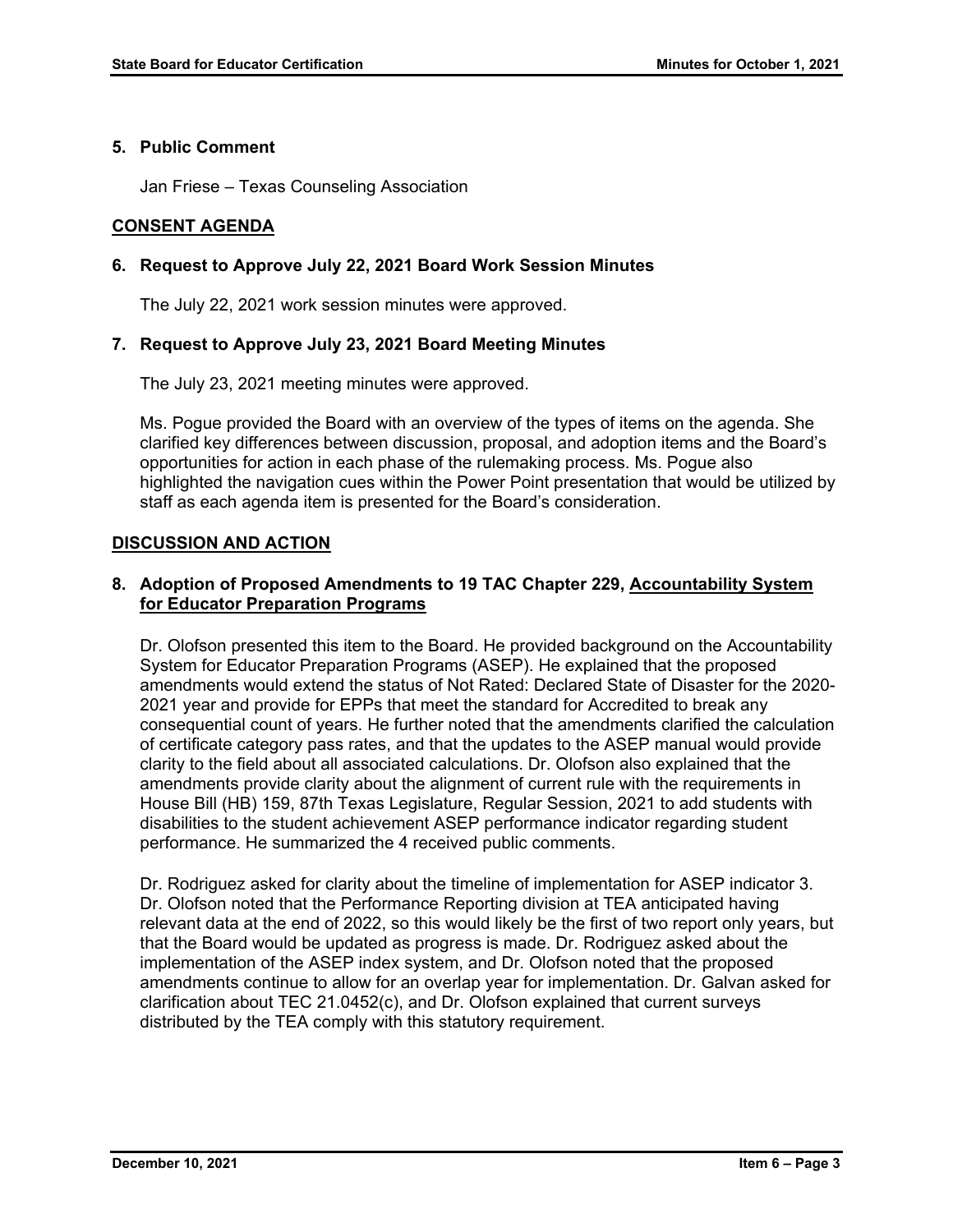## **5. Public Comment**

Jan Friese – Texas Counseling Association

## **CONSENT AGENDA**

## **6. Request to Approve July 22, 2021 Board Work Session Minutes**

The July 22, 2021 work session minutes were approved.

## **7. Request to Approve July 23, 2021 Board Meeting Minutes**

The July 23, 2021 meeting minutes were approved.

Ms. Pogue provided the Board with an overview of the types of items on the agenda. She clarified key differences between discussion, proposal, and adoption items and the Board's opportunities for action in each phase of the rulemaking process. Ms. Pogue also highlighted the navigation cues within the Power Point presentation that would be utilized by staff as each agenda item is presented for the Board's consideration.

## **DISCUSSION AND ACTION**

## **8. Adoption of Proposed Amendments to 19 TAC Chapter 229, Accountability System for Educator Preparation Programs**

Dr. Olofson presented this item to the Board. He provided background on the Accountability System for Educator Preparation Programs (ASEP). He explained that the proposed amendments would extend the status of Not Rated: Declared State of Disaster for the 2020- 2021 year and provide for EPPs that meet the standard for Accredited to break any consequential count of years. He further noted that the amendments clarified the calculation of certificate category pass rates, and that the updates to the ASEP manual would provide clarity to the field about all associated calculations. Dr. Olofson also explained that the amendments provide clarity about the alignment of current rule with the requirements in House Bill (HB) 159, 87th Texas Legislature, Regular Session, 2021 to add students with disabilities to the student achievement ASEP performance indicator regarding student performance. He summarized the 4 received public comments.

Dr. Rodriguez asked for clarity about the timeline of implementation for ASEP indicator 3. Dr. Olofson noted that the Performance Reporting division at TEA anticipated having relevant data at the end of 2022, so this would likely be the first of two report only years, but that the Board would be updated as progress is made. Dr. Rodriguez asked about the implementation of the ASEP index system, and Dr. Olofson noted that the proposed amendments continue to allow for an overlap year for implementation. Dr. Galvan asked for clarification about TEC 21.0452(c), and Dr. Olofson explained that current surveys distributed by the TEA comply with this statutory requirement.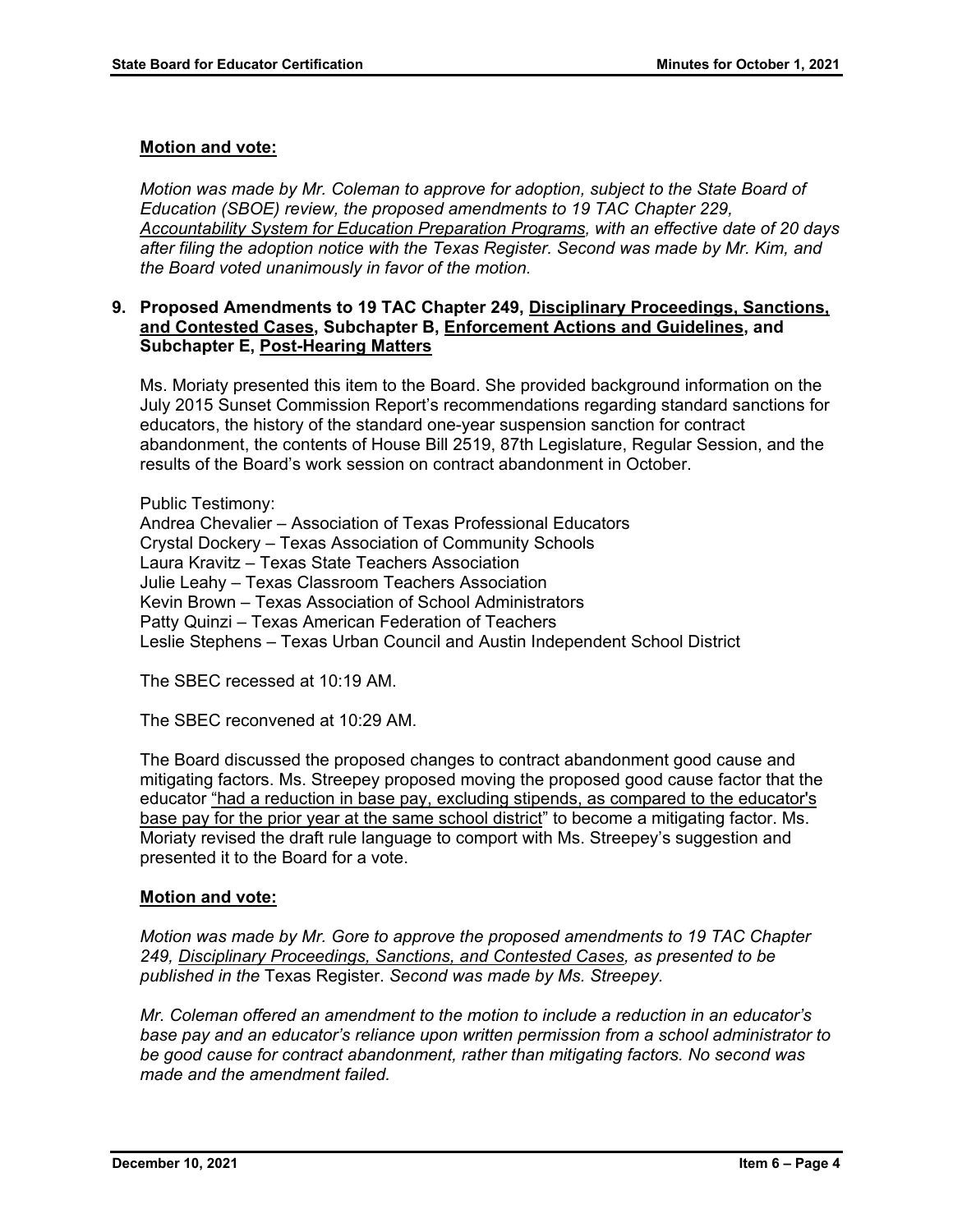#### **Motion and vote:**

*Motion was made by Mr. Coleman to approve for adoption, subject to the State Board of Education (SBOE) review, the proposed amendments to 19 TAC Chapter 229, Accountability System for Education Preparation Programs, with an effective date of 20 days after filing the adoption notice with the Texas Register. Second was made by Mr. Kim, and the Board voted unanimously in favor of the motion.*

#### **9. Proposed Amendments to 19 TAC Chapter 249, Disciplinary Proceedings, Sanctions, and Contested Cases, Subchapter B, Enforcement Actions and Guidelines, and Subchapter E, Post-Hearing Matters**

Ms. Moriaty presented this item to the Board. She provided background information on the July 2015 Sunset Commission Report's recommendations regarding standard sanctions for educators, the history of the standard one-year suspension sanction for contract abandonment, the contents of House Bill 2519, 87th Legislature, Regular Session, and the results of the Board's work session on contract abandonment in October.

Public Testimony: Andrea Chevalier – Association of Texas Professional Educators Crystal Dockery – Texas Association of Community Schools Laura Kravitz – Texas State Teachers Association Julie Leahy – Texas Classroom Teachers Association Kevin Brown – Texas Association of School Administrators Patty Quinzi – Texas American Federation of Teachers Leslie Stephens – Texas Urban Council and Austin Independent School District

The SBEC recessed at 10:19 AM.

The SBEC reconvened at 10:29 AM.

The Board discussed the proposed changes to contract abandonment good cause and mitigating factors. Ms. Streepey proposed moving the proposed good cause factor that the educator "had a reduction in base pay, excluding stipends, as compared to the educator's base pay for the prior year at the same school district" to become a mitigating factor. Ms. Moriaty revised the draft rule language to comport with Ms. Streepey's suggestion and presented it to the Board for a vote.

#### **Motion and vote:**

*Motion was made by Mr. Gore to approve the proposed amendments to 19 TAC Chapter 249, Disciplinary Proceedings, Sanctions, and Contested Cases, as presented to be published in the* Texas Register. *Second was made by Ms. Streepey.* 

*Mr. Coleman offered an amendment to the motion to include a reduction in an educator's base pay and an educator's reliance upon written permission from a school administrator to be good cause for contract abandonment, rather than mitigating factors. No second was made and the amendment failed.*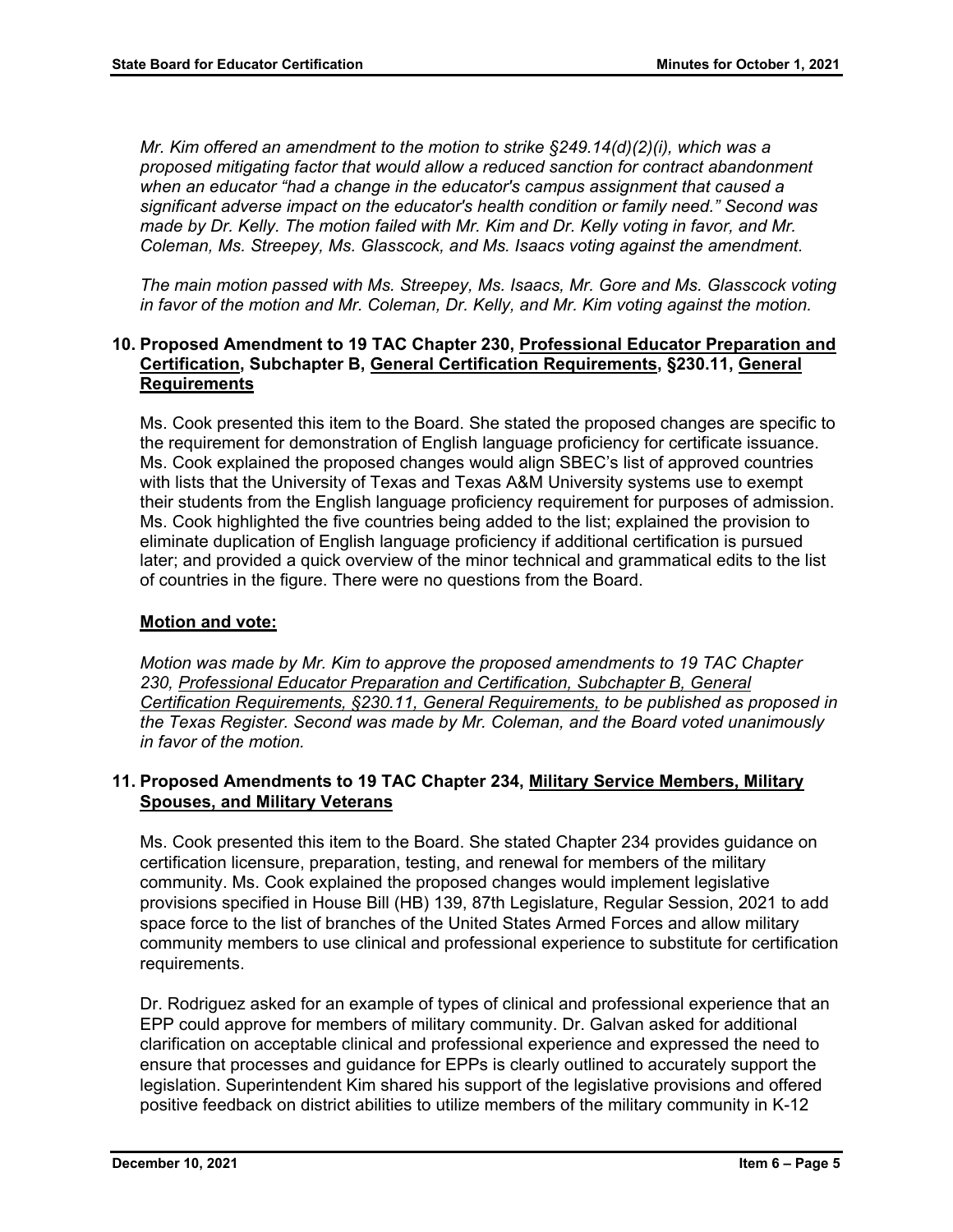*Mr. Kim offered an amendment to the motion to strike §249.14(d)(2)(i), which was a proposed mitigating factor that would allow a reduced sanction for contract abandonment when an educator "had a change in the educator's campus assignment that caused a significant adverse impact on the educator's health condition or family need." Second was made by Dr. Kelly. The motion failed with Mr. Kim and Dr. Kelly voting in favor, and Mr. Coleman, Ms. Streepey, Ms. Glasscock, and Ms. Isaacs voting against the amendment.* 

*The main motion passed with Ms. Streepey, Ms. Isaacs, Mr. Gore and Ms. Glasscock voting in favor of the motion and Mr. Coleman, Dr. Kelly, and Mr. Kim voting against the motion.* 

## **10. Proposed Amendment to 19 TAC Chapter 230, Professional Educator Preparation and Certification, Subchapter B, General Certification Requirements, §230.11, General Requirements**

Ms. Cook presented this item to the Board. She stated the proposed changes are specific to the requirement for demonstration of English language proficiency for certificate issuance. Ms. Cook explained the proposed changes would align SBEC's list of approved countries with lists that the University of Texas and Texas A&M University systems use to exempt their students from the English language proficiency requirement for purposes of admission. Ms. Cook highlighted the five countries being added to the list; explained the provision to eliminate duplication of English language proficiency if additional certification is pursued later; and provided a quick overview of the minor technical and grammatical edits to the list of countries in the figure. There were no questions from the Board.

## **Motion and vote:**

*Motion was made by Mr. Kim to approve the proposed amendments to 19 TAC Chapter 230, Professional Educator Preparation and Certification, Subchapter B, General Certification Requirements, §230.11, General Requirements, to be published as proposed in the Texas Register. Second was made by Mr. Coleman, and the Board voted unanimously in favor of the motion.*

## **11. Proposed Amendments to 19 TAC Chapter 234, Military Service Members, Military Spouses, and Military Veterans**

Ms. Cook presented this item to the Board. She stated Chapter 234 provides guidance on certification licensure, preparation, testing, and renewal for members of the military community. Ms. Cook explained the proposed changes would implement legislative provisions specified in House Bill (HB) 139, 87th Legislature, Regular Session, 2021 to add space force to the list of branches of the United States Armed Forces and allow military community members to use clinical and professional experience to substitute for certification requirements.

Dr. Rodriguez asked for an example of types of clinical and professional experience that an EPP could approve for members of military community. Dr. Galvan asked for additional clarification on acceptable clinical and professional experience and expressed the need to ensure that processes and guidance for EPPs is clearly outlined to accurately support the legislation. Superintendent Kim shared his support of the legislative provisions and offered positive feedback on district abilities to utilize members of the military community in K-12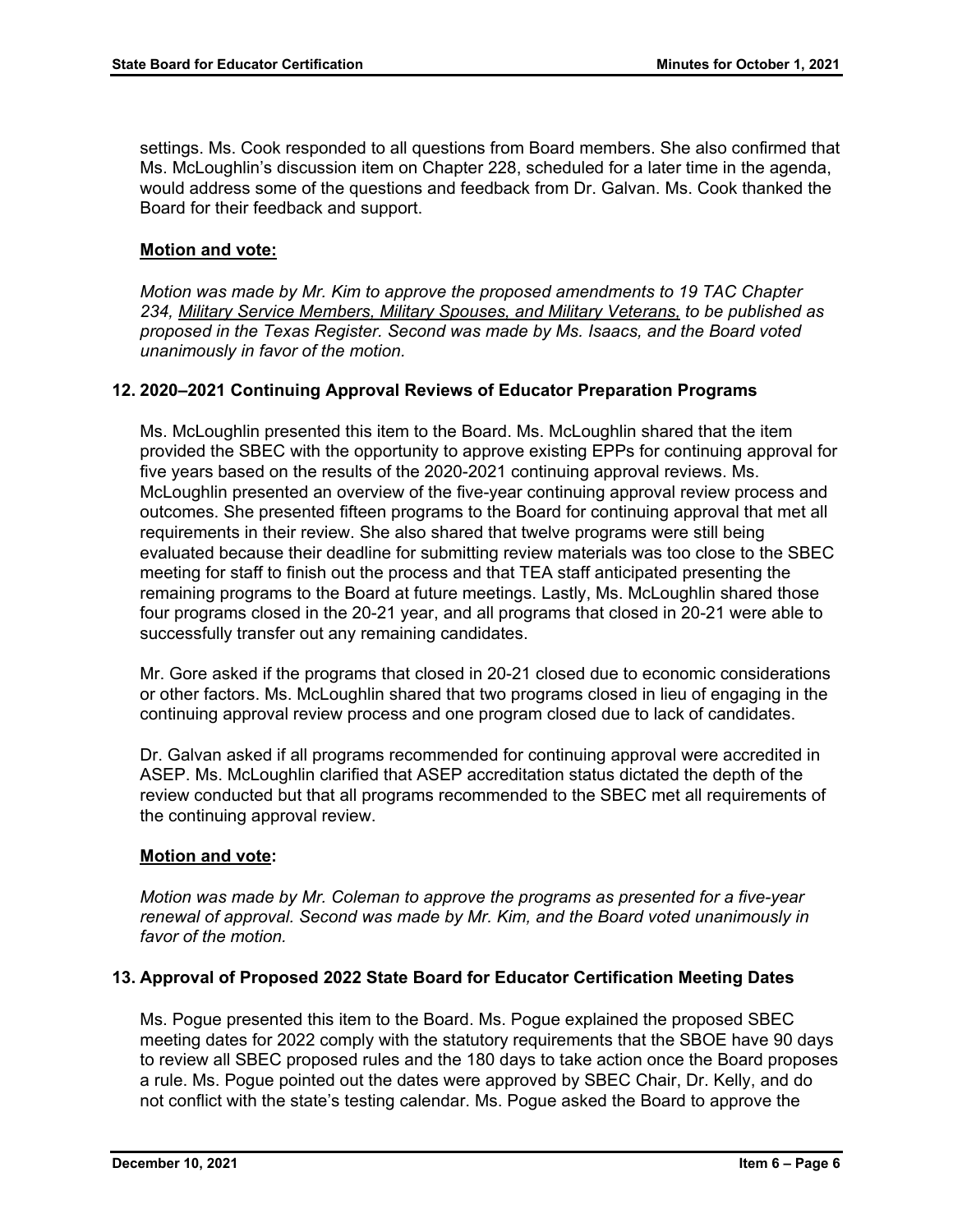settings. Ms. Cook responded to all questions from Board members. She also confirmed that Ms. McLoughlin's discussion item on Chapter 228, scheduled for a later time in the agenda, would address some of the questions and feedback from Dr. Galvan. Ms. Cook thanked the Board for their feedback and support.

## **Motion and vote:**

*Motion was made by Mr. Kim to approve the proposed amendments to 19 TAC Chapter 234, Military Service Members, Military Spouses, and Military Veterans, to be published as proposed in the Texas Register. Second was made by Ms. Isaacs, and the Board voted unanimously in favor of the motion.*

## **12. 2020–2021 Continuing Approval Reviews of Educator Preparation Programs**

Ms. McLoughlin presented this item to the Board. Ms. McLoughlin shared that the item provided the SBEC with the opportunity to approve existing EPPs for continuing approval for five years based on the results of the 2020-2021 continuing approval reviews. Ms. McLoughlin presented an overview of the five-year continuing approval review process and outcomes. She presented fifteen programs to the Board for continuing approval that met all requirements in their review. She also shared that twelve programs were still being evaluated because their deadline for submitting review materials was too close to the SBEC meeting for staff to finish out the process and that TEA staff anticipated presenting the remaining programs to the Board at future meetings. Lastly, Ms. McLoughlin shared those four programs closed in the 20-21 year, and all programs that closed in 20-21 were able to successfully transfer out any remaining candidates.

Mr. Gore asked if the programs that closed in 20-21 closed due to economic considerations or other factors. Ms. McLoughlin shared that two programs closed in lieu of engaging in the continuing approval review process and one program closed due to lack of candidates.

Dr. Galvan asked if all programs recommended for continuing approval were accredited in ASEP. Ms. McLoughlin clarified that ASEP accreditation status dictated the depth of the review conducted but that all programs recommended to the SBEC met all requirements of the continuing approval review.

#### **Motion and vote:**

*Motion was made by Mr. Coleman to approve the programs as presented for a five-year renewal of approval. Second was made by Mr. Kim, and the Board voted unanimously in favor of the motion.*

#### **13. Approval of Proposed 2022 State Board for Educator Certification Meeting Dates**

Ms. Pogue presented this item to the Board. Ms. Pogue explained the proposed SBEC meeting dates for 2022 comply with the statutory requirements that the SBOE have 90 days to review all SBEC proposed rules and the 180 days to take action once the Board proposes a rule. Ms. Pogue pointed out the dates were approved by SBEC Chair, Dr. Kelly, and do not conflict with the state's testing calendar. Ms. Pogue asked the Board to approve the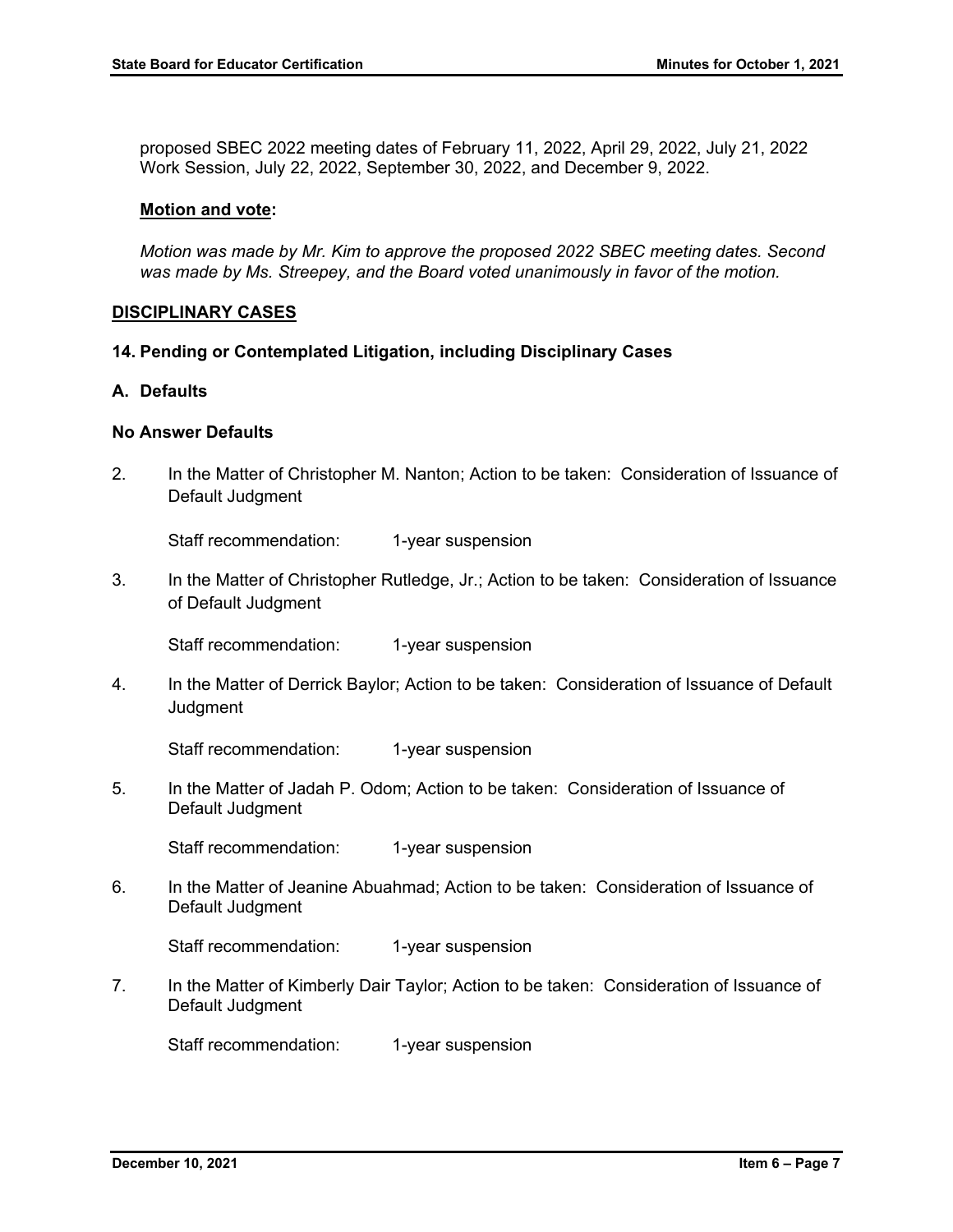proposed SBEC 2022 meeting dates of February 11, 2022, April 29, 2022, July 21, 2022 Work Session, July 22, 2022, September 30, 2022, and December 9, 2022.

#### **Motion and vote:**

*Motion was made by Mr. Kim to approve the proposed 2022 SBEC meeting dates. Second was made by Ms. Streepey, and the Board voted unanimously in favor of the motion.*

#### **DISCIPLINARY CASES**

**14. Pending or Contemplated Litigation, including Disciplinary Cases**

#### **A. Defaults**

#### **No Answer Defaults**

2. In the Matter of Christopher M. Nanton; Action to be taken: Consideration of Issuance of Default Judgment

Staff recommendation: 1-year suspension

3. In the Matter of Christopher Rutledge, Jr.; Action to be taken: Consideration of Issuance of Default Judgment

Staff recommendation: 1-year suspension

4. In the Matter of Derrick Baylor; Action to be taken: Consideration of Issuance of Default **Judgment** 

Staff recommendation: 1-year suspension

5. In the Matter of Jadah P. Odom; Action to be taken: Consideration of Issuance of Default Judgment

Staff recommendation: 1-year suspension

6. In the Matter of Jeanine Abuahmad; Action to be taken: Consideration of Issuance of Default Judgment

Staff recommendation: 1-year suspension

7. In the Matter of Kimberly Dair Taylor; Action to be taken: Consideration of Issuance of Default Judgment

Staff recommendation: 1-year suspension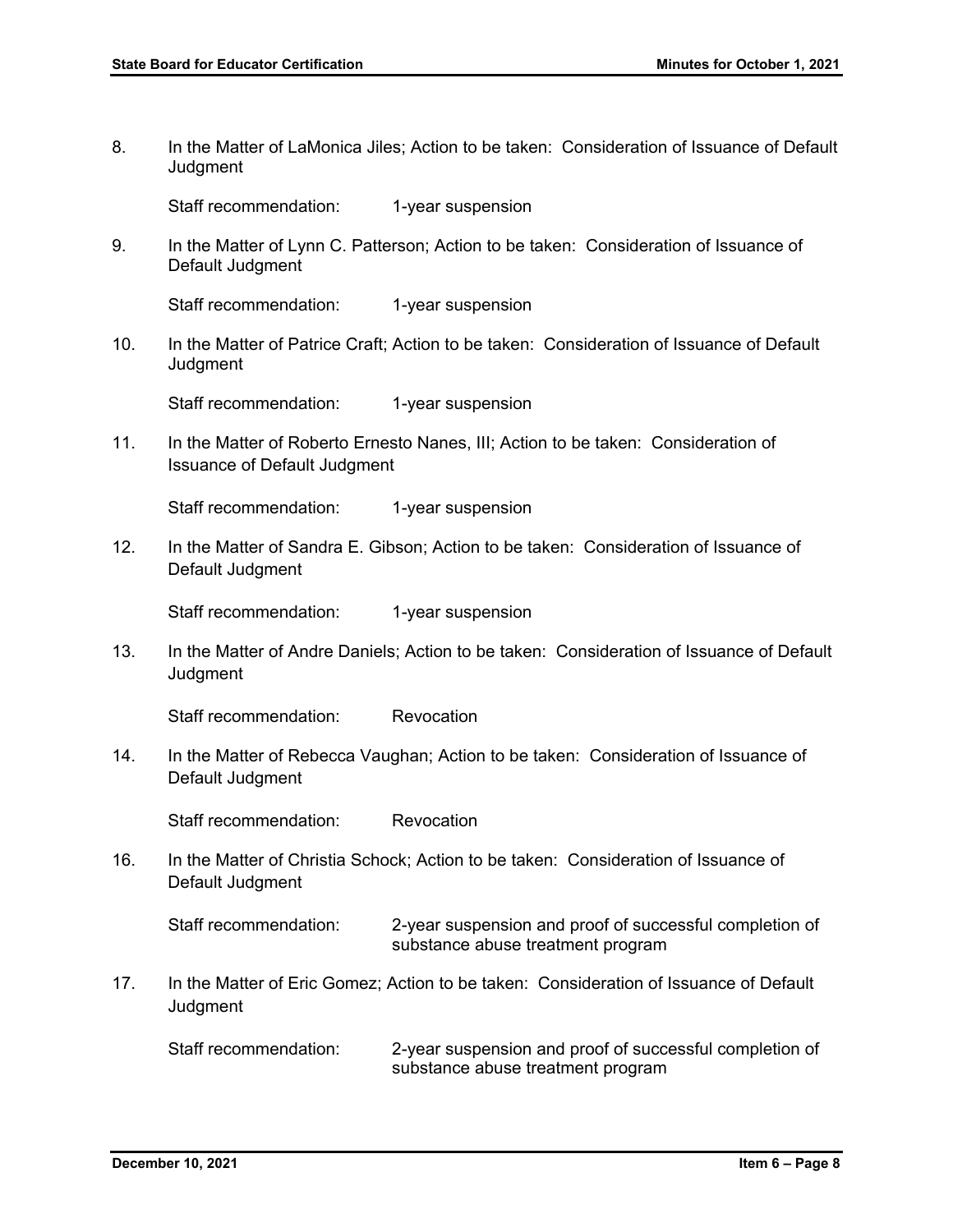8. In the Matter of LaMonica Jiles; Action to be taken: Consideration of Issuance of Default **Judgment** Staff recommendation: 1-year suspension 9. In the Matter of Lynn C. Patterson; Action to be taken: Consideration of Issuance of Default Judgment Staff recommendation: 1-year suspension 10. In the Matter of Patrice Craft; Action to be taken: Consideration of Issuance of Default **Judgment** Staff recommendation: 1-year suspension 11. In the Matter of Roberto Ernesto Nanes, III; Action to be taken: Consideration of Issuance of Default Judgment Staff recommendation: 1-year suspension 12. In the Matter of Sandra E. Gibson; Action to be taken: Consideration of Issuance of Default Judgment Staff recommendation: 1-year suspension 13. In the Matter of Andre Daniels; Action to be taken: Consideration of Issuance of Default **Judgment** Staff recommendation: Revocation 14. In the Matter of Rebecca Vaughan; Action to be taken: Consideration of Issuance of Default Judgment Staff recommendation: Revocation 16. In the Matter of Christia Schock; Action to be taken: Consideration of Issuance of Default Judgment Staff recommendation: 2-year suspension and proof of successful completion of substance abuse treatment program 17. In the Matter of Eric Gomez; Action to be taken: Consideration of Issuance of Default Judgment

Staff recommendation: 2-year suspension and proof of successful completion of substance abuse treatment program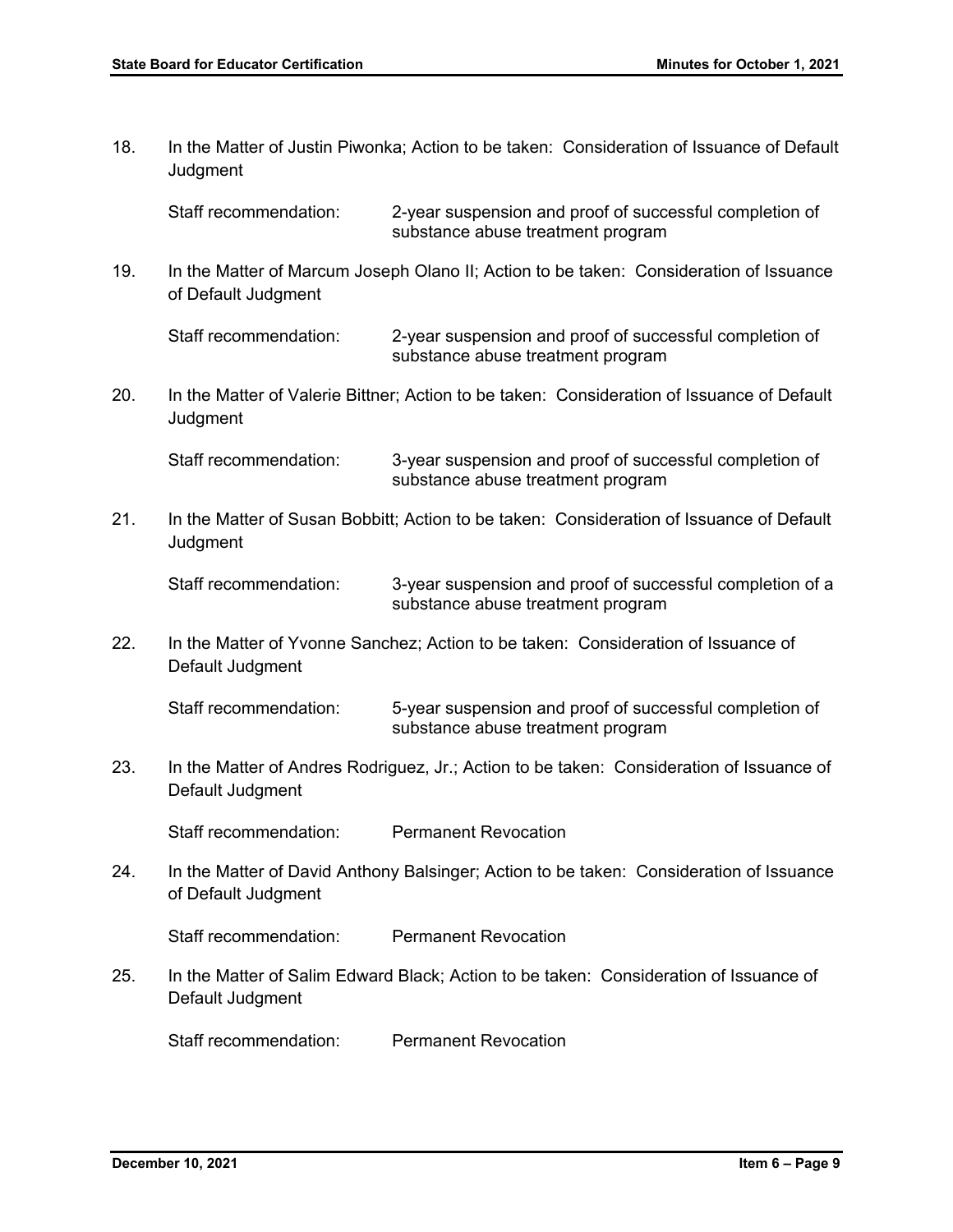18. In the Matter of Justin Piwonka; Action to be taken: Consideration of Issuance of Default **Judgment** 

Staff recommendation: 2-year suspension and proof of successful completion of substance abuse treatment program

19. In the Matter of Marcum Joseph Olano II; Action to be taken: Consideration of Issuance of Default Judgment

Staff recommendation: 2-year suspension and proof of successful completion of substance abuse treatment program

20. In the Matter of Valerie Bittner; Action to be taken: Consideration of Issuance of Default **Judgment** 

Staff recommendation: 3-year suspension and proof of successful completion of substance abuse treatment program

21. In the Matter of Susan Bobbitt; Action to be taken: Consideration of Issuance of Default **Judgment** 

Staff recommendation: 3-year suspension and proof of successful completion of a substance abuse treatment program

22. In the Matter of Yvonne Sanchez; Action to be taken: Consideration of Issuance of Default Judgment

Staff recommendation: 5-year suspension and proof of successful completion of substance abuse treatment program

23. In the Matter of Andres Rodriguez, Jr.; Action to be taken: Consideration of Issuance of Default Judgment

Staff recommendation: Permanent Revocation

24. In the Matter of David Anthony Balsinger; Action to be taken: Consideration of Issuance of Default Judgment

Staff recommendation: Permanent Revocation

25. In the Matter of Salim Edward Black; Action to be taken: Consideration of Issuance of Default Judgment

Staff recommendation: Permanent Revocation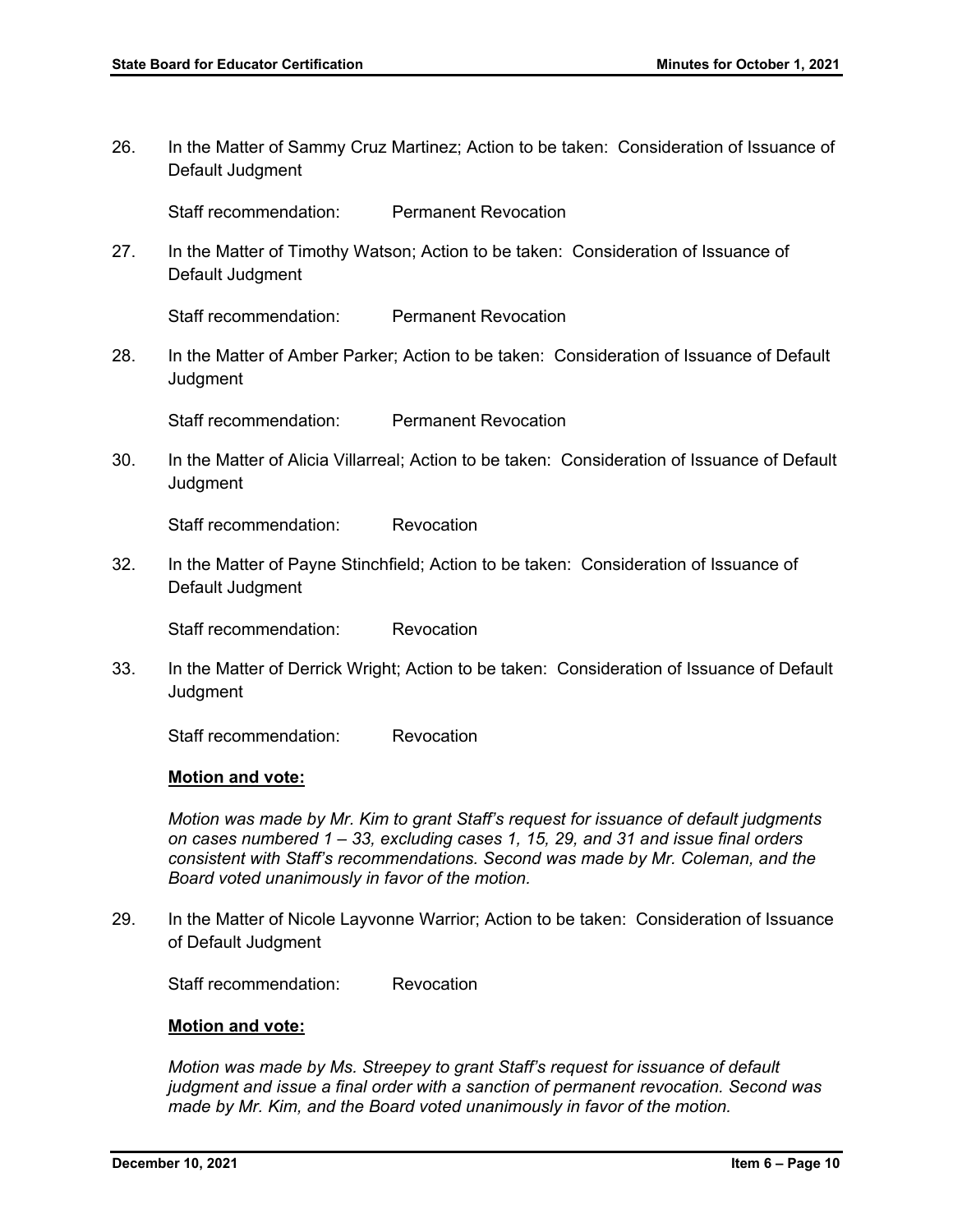26. In the Matter of Sammy Cruz Martinez; Action to be taken: Consideration of Issuance of Default Judgment

Staff recommendation: Permanent Revocation

27. In the Matter of Timothy Watson; Action to be taken: Consideration of Issuance of Default Judgment

Staff recommendation: Permanent Revocation

28. In the Matter of Amber Parker; Action to be taken: Consideration of Issuance of Default **Judgment** 

Staff recommendation: Permanent Revocation

30. In the Matter of Alicia Villarreal; Action to be taken: Consideration of Issuance of Default **Judgment** 

Staff recommendation: Revocation

32. In the Matter of Payne Stinchfield; Action to be taken: Consideration of Issuance of Default Judgment

Staff recommendation: Revocation

33. In the Matter of Derrick Wright; Action to be taken: Consideration of Issuance of Default **Judgment** 

Staff recommendation: Revocation

#### **Motion and vote:**

*Motion was made by Mr. Kim to grant Staff's request for issuance of default judgments on cases numbered 1 – 33, excluding cases 1, 15, 29, and 31 and issue final orders consistent with Staff's recommendations. Second was made by Mr. Coleman, and the Board voted unanimously in favor of the motion.* 

29. In the Matter of Nicole Layvonne Warrior; Action to be taken: Consideration of Issuance of Default Judgment

Staff recommendation: Revocation

#### **Motion and vote:**

*Motion was made by Ms. Streepey to grant Staff's request for issuance of default judgment and issue a final order with a sanction of permanent revocation. Second was made by Mr. Kim, and the Board voted unanimously in favor of the motion.*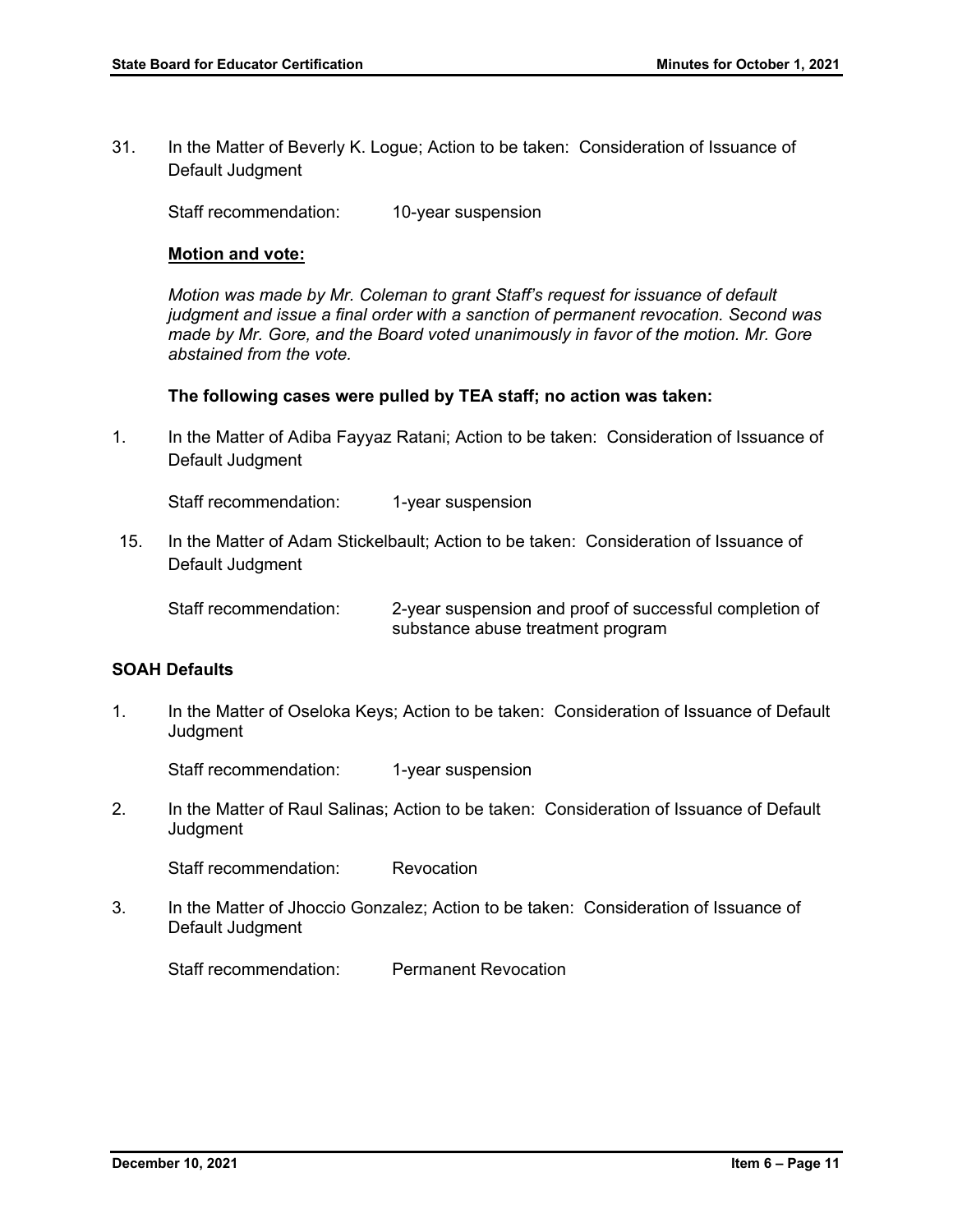31. In the Matter of Beverly K. Logue; Action to be taken: Consideration of Issuance of Default Judgment

Staff recommendation: 10-year suspension

#### **Motion and vote:**

*Motion was made by Mr. Coleman to grant Staff's request for issuance of default judgment and issue a final order with a sanction of permanent revocation. Second was made by Mr. Gore, and the Board voted unanimously in favor of the motion. Mr. Gore abstained from the vote.* 

#### **The following cases were pulled by TEA staff; no action was taken:**

1. In the Matter of Adiba Fayyaz Ratani; Action to be taken: Consideration of Issuance of Default Judgment

Staff recommendation: 1-year suspension

15. In the Matter of Adam Stickelbault; Action to be taken: Consideration of Issuance of Default Judgment

Staff recommendation: 2-year suspension and proof of successful completion of substance abuse treatment program

## **SOAH Defaults**

1. In the Matter of Oseloka Keys; Action to be taken: Consideration of Issuance of Default Judgment

Staff recommendation: 1-year suspension

2. In the Matter of Raul Salinas; Action to be taken: Consideration of Issuance of Default **Judgment** 

Staff recommendation: Revocation

3. In the Matter of Jhoccio Gonzalez; Action to be taken: Consideration of Issuance of Default Judgment

Staff recommendation: Permanent Revocation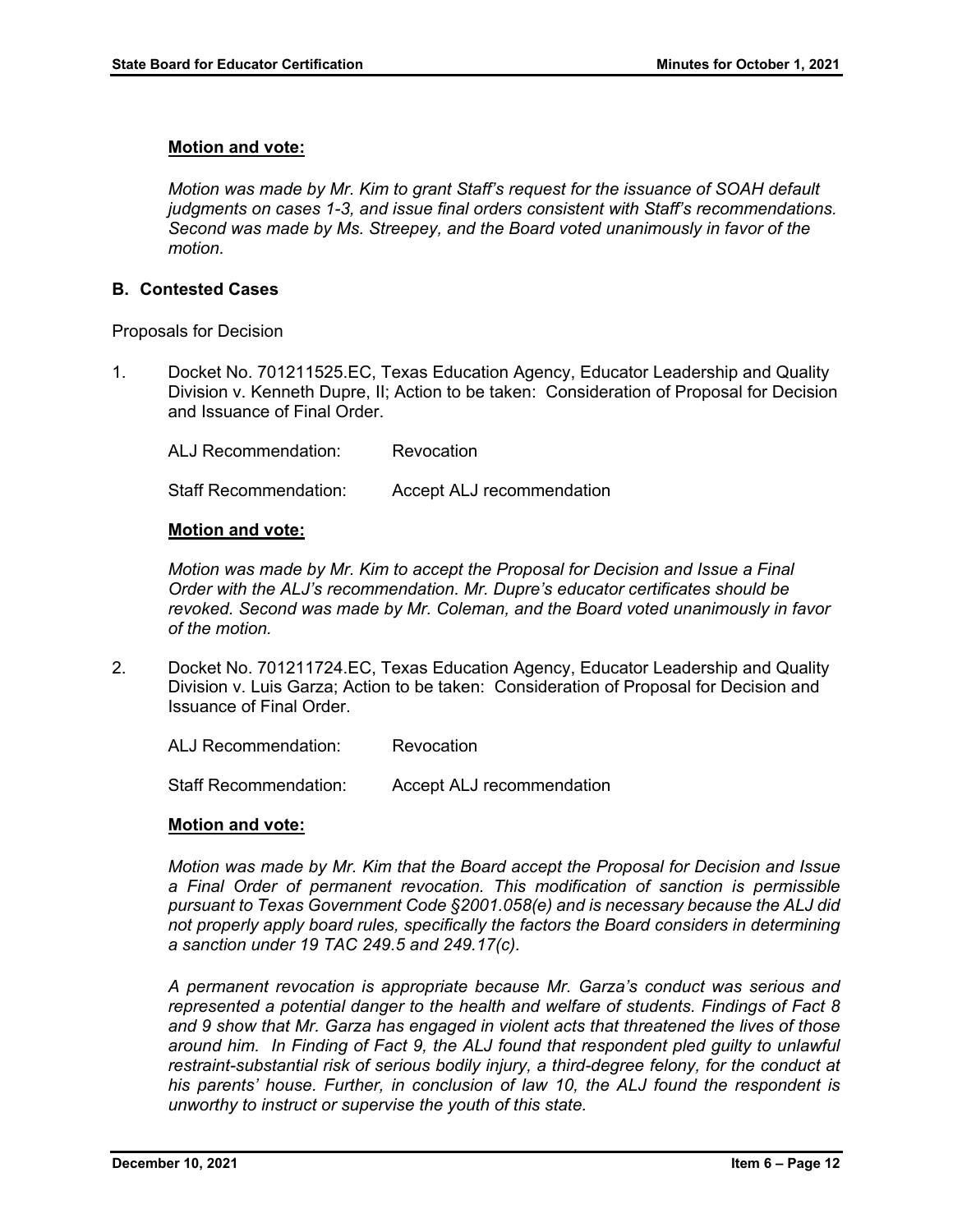#### **Motion and vote:**

*Motion was made by Mr. Kim to grant Staff's request for the issuance of SOAH default judgments on cases 1-3, and issue final orders consistent with Staff's recommendations. Second was made by Ms. Streepey, and the Board voted unanimously in favor of the motion.* 

#### **B. Contested Cases**

Proposals for Decision

1. Docket No. 701211525.EC, Texas Education Agency, Educator Leadership and Quality Division v. Kenneth Dupre, II; Action to be taken: Consideration of Proposal for Decision and Issuance of Final Order.

ALJ Recommendation: Revocation Staff Recommendation: Accept ALJ recommendation

#### **Motion and vote:**

*Motion was made by Mr. Kim to accept the Proposal for Decision and Issue a Final Order with the ALJ's recommendation. Mr. Dupre's educator certificates should be revoked. Second was made by Mr. Coleman, and the Board voted unanimously in favor of the motion.* 

2. Docket No. 701211724.EC, Texas Education Agency, Educator Leadership and Quality Division v. Luis Garza; Action to be taken: Consideration of Proposal for Decision and Issuance of Final Order.

ALJ Recommendation: Revocation

Staff Recommendation: Accept ALJ recommendation

#### **Motion and vote:**

*Motion was made by Mr. Kim that the Board accept the Proposal for Decision and Issue a Final Order of permanent revocation. This modification of sanction is permissible pursuant to Texas Government Code §2001.058(e) and is necessary because the ALJ did not properly apply board rules, specifically the factors the Board considers in determining a sanction under 19 TAC 249.5 and 249.17(c).* 

*A permanent revocation is appropriate because Mr. Garza's conduct was serious and represented a potential danger to the health and welfare of students. Findings of Fact 8 and 9 show that Mr. Garza has engaged in violent acts that threatened the lives of those around him. In Finding of Fact 9, the ALJ found that respondent pled guilty to unlawful restraint-substantial risk of serious bodily injury, a third-degree felony, for the conduct at his parents' house. Further, in conclusion of law 10, the ALJ found the respondent is unworthy to instruct or supervise the youth of this state.*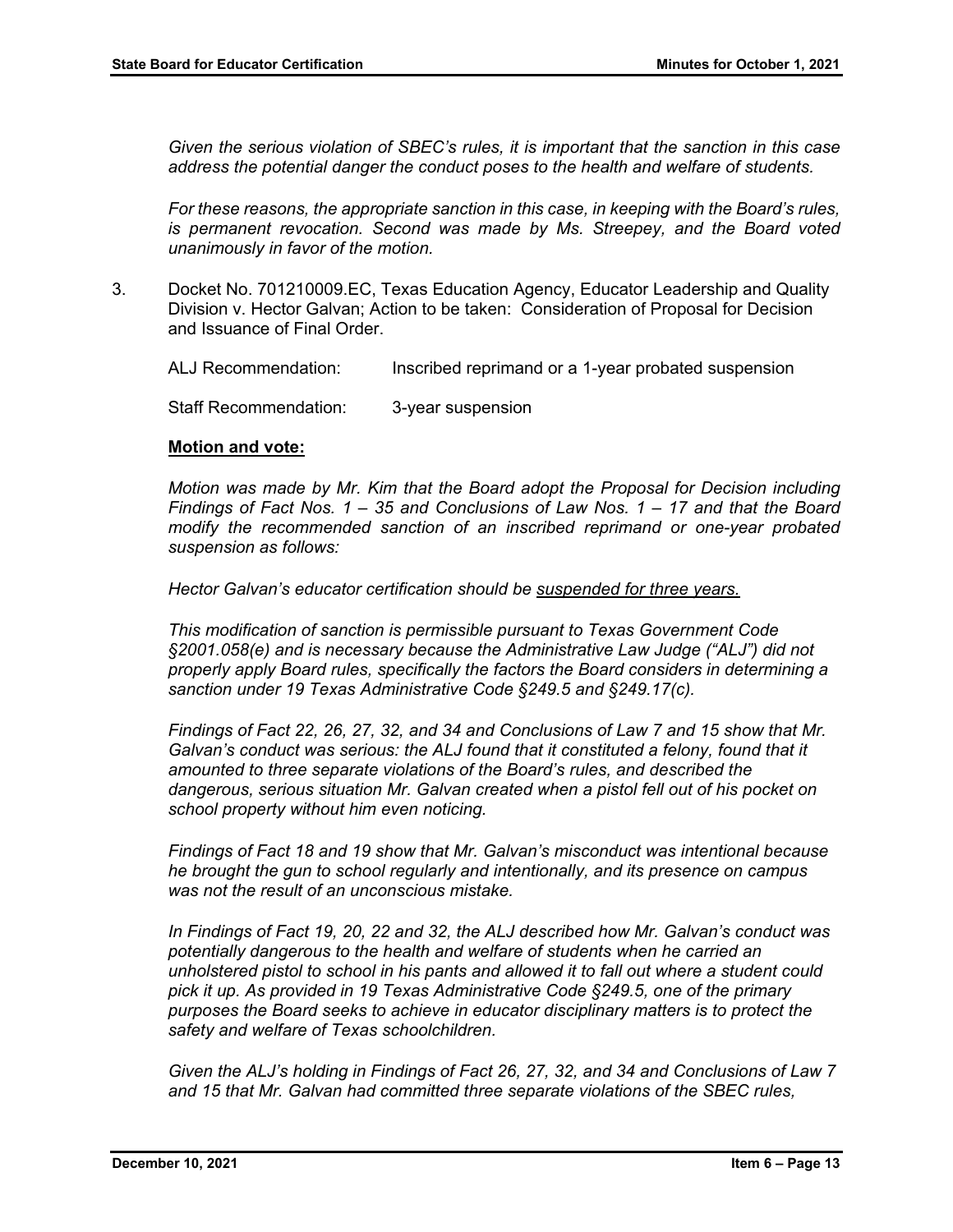*Given the serious violation of SBEC's rules, it is important that the sanction in this case address the potential danger the conduct poses to the health and welfare of students.* 

*For these reasons, the appropriate sanction in this case, in keeping with the Board's rules, is permanent revocation. Second was made by Ms. Streepey, and the Board voted unanimously in favor of the motion.*

3. Docket No. 701210009.EC, Texas Education Agency, Educator Leadership and Quality Division v. Hector Galvan; Action to be taken: Consideration of Proposal for Decision and Issuance of Final Order.

ALJ Recommendation: Inscribed reprimand or a 1-year probated suspension

Staff Recommendation: 3-year suspension

#### **Motion and vote:**

*Motion was made by Mr. Kim that the Board adopt the Proposal for Decision including Findings of Fact Nos. 1 – 35 and Conclusions of Law Nos. 1 – 17 and that the Board modify the recommended sanction of an inscribed reprimand or one-year probated suspension as follows:*

*Hector Galvan's educator certification should be suspended for three years.*

*This modification of sanction is permissible pursuant to Texas Government Code §2001.058(e) and is necessary because the Administrative Law Judge ("ALJ") did not properly apply Board rules, specifically the factors the Board considers in determining a sanction under 19 Texas Administrative Code §249.5 and §249.17(c).*

*Findings of Fact 22, 26, 27, 32, and 34 and Conclusions of Law 7 and 15 show that Mr. Galvan's conduct was serious: the ALJ found that it constituted a felony, found that it amounted to three separate violations of the Board's rules, and described the dangerous, serious situation Mr. Galvan created when a pistol fell out of his pocket on school property without him even noticing.* 

*Findings of Fact 18 and 19 show that Mr. Galvan's misconduct was intentional because he brought the gun to school regularly and intentionally, and its presence on campus was not the result of an unconscious mistake.* 

*In Findings of Fact 19, 20, 22 and 32, the ALJ described how Mr. Galvan's conduct was potentially dangerous to the health and welfare of students when he carried an unholstered pistol to school in his pants and allowed it to fall out where a student could pick it up. As provided in 19 Texas Administrative Code §249.5, one of the primary purposes the Board seeks to achieve in educator disciplinary matters is to protect the safety and welfare of Texas schoolchildren.*

*Given the ALJ's holding in Findings of Fact 26, 27, 32, and 34 and Conclusions of Law 7 and 15 that Mr. Galvan had committed three separate violations of the SBEC rules,*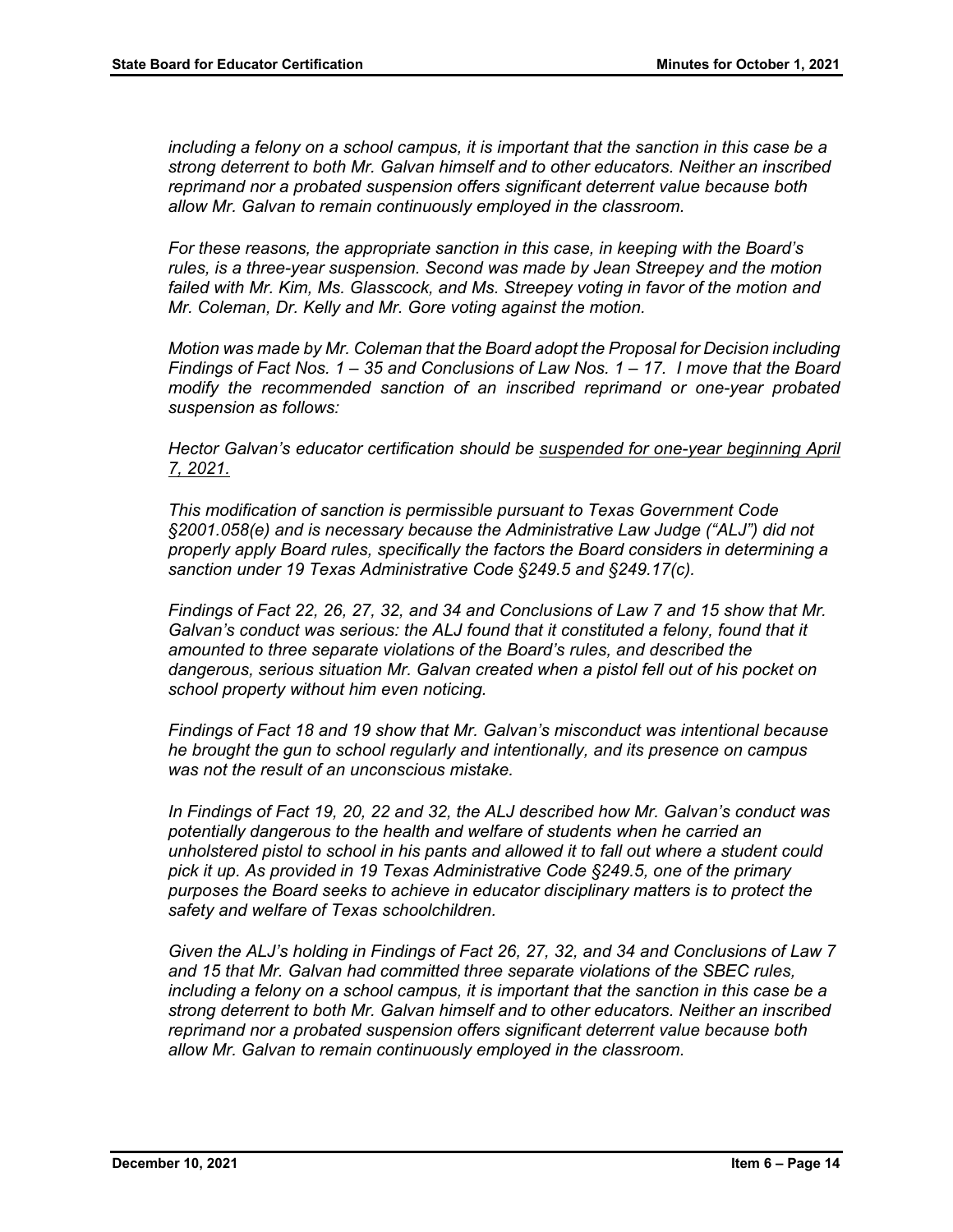*including a felony on a school campus, it is important that the sanction in this case be a strong deterrent to both Mr. Galvan himself and to other educators. Neither an inscribed reprimand nor a probated suspension offers significant deterrent value because both allow Mr. Galvan to remain continuously employed in the classroom.* 

*For these reasons, the appropriate sanction in this case, in keeping with the Board's rules, is a three-year suspension. Second was made by Jean Streepey and the motion*  failed with Mr. Kim, Ms. Glasscock, and Ms. Streepey voting in favor of the motion and *Mr. Coleman, Dr. Kelly and Mr. Gore voting against the motion.* 

*Motion was made by Mr. Coleman that the Board adopt the Proposal for Decision including Findings of Fact Nos. 1 – 35 and Conclusions of Law Nos. 1 – 17. I move that the Board modify the recommended sanction of an inscribed reprimand or one-year probated suspension as follows:*

*Hector Galvan's educator certification should be suspended for one-year beginning April 7, 2021.*

*This modification of sanction is permissible pursuant to Texas Government Code §2001.058(e) and is necessary because the Administrative Law Judge ("ALJ") did not properly apply Board rules, specifically the factors the Board considers in determining a sanction under 19 Texas Administrative Code §249.5 and §249.17(c).*

*Findings of Fact 22, 26, 27, 32, and 34 and Conclusions of Law 7 and 15 show that Mr. Galvan's conduct was serious: the ALJ found that it constituted a felony, found that it amounted to three separate violations of the Board's rules, and described the dangerous, serious situation Mr. Galvan created when a pistol fell out of his pocket on school property without him even noticing.* 

*Findings of Fact 18 and 19 show that Mr. Galvan's misconduct was intentional because he brought the gun to school regularly and intentionally, and its presence on campus was not the result of an unconscious mistake.* 

*In Findings of Fact 19, 20, 22 and 32, the ALJ described how Mr. Galvan's conduct was potentially dangerous to the health and welfare of students when he carried an unholstered pistol to school in his pants and allowed it to fall out where a student could pick it up. As provided in 19 Texas Administrative Code §249.5, one of the primary purposes the Board seeks to achieve in educator disciplinary matters is to protect the safety and welfare of Texas schoolchildren.*

*Given the ALJ's holding in Findings of Fact 26, 27, 32, and 34 and Conclusions of Law 7 and 15 that Mr. Galvan had committed three separate violations of the SBEC rules, including a felony on a school campus, it is important that the sanction in this case be a strong deterrent to both Mr. Galvan himself and to other educators. Neither an inscribed reprimand nor a probated suspension offers significant deterrent value because both allow Mr. Galvan to remain continuously employed in the classroom.*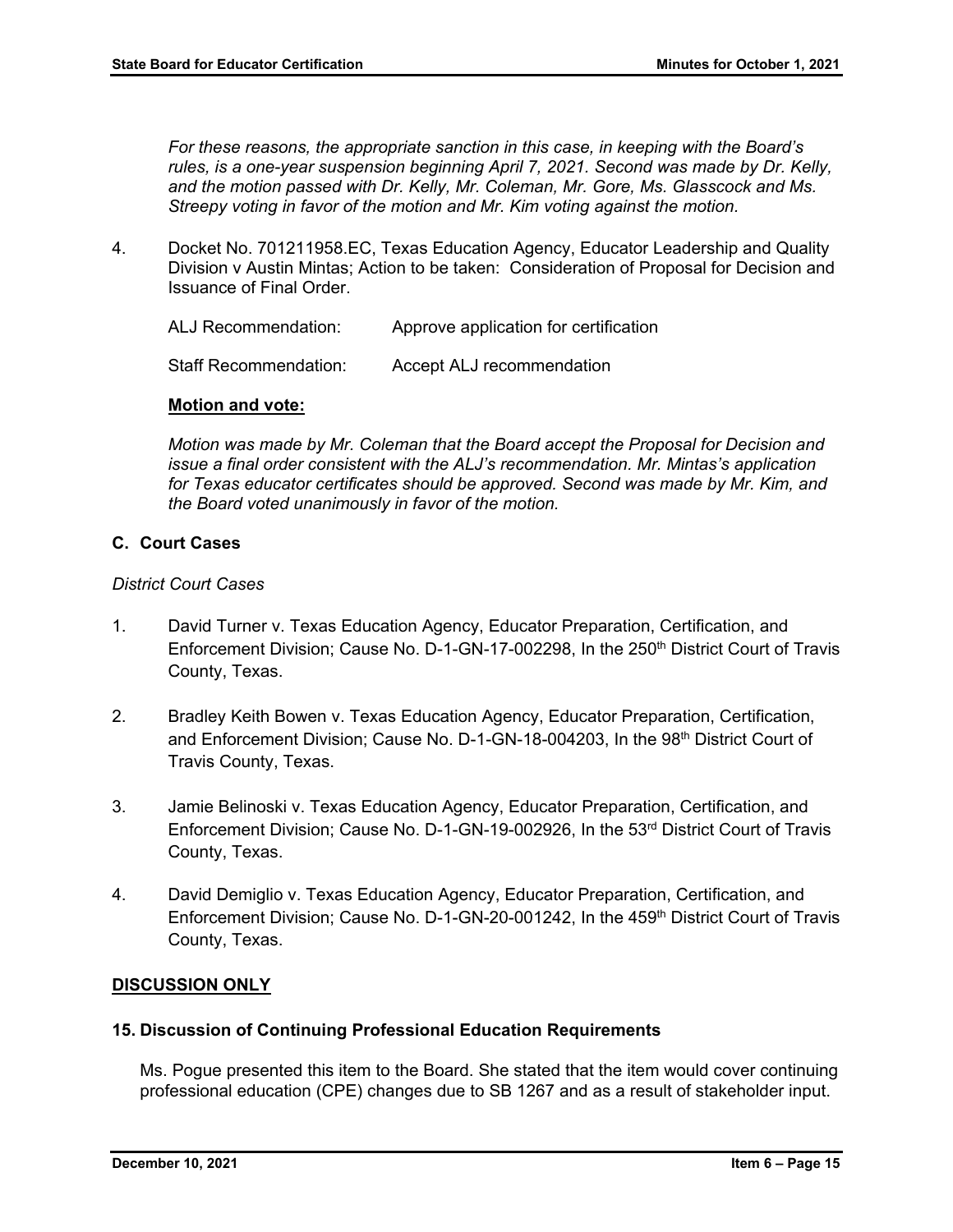*For these reasons, the appropriate sanction in this case, in keeping with the Board's rules, is a one-year suspension beginning April 7, 2021. Second was made by Dr. Kelly, and the motion passed with Dr. Kelly, Mr. Coleman, Mr. Gore, Ms. Glasscock and Ms. Streepy voting in favor of the motion and Mr. Kim voting against the motion.* 

4. Docket No. 701211958.EC, Texas Education Agency, Educator Leadership and Quality Division v Austin Mintas; Action to be taken: Consideration of Proposal for Decision and Issuance of Final Order.

ALJ Recommendation: Approve application for certification

Staff Recommendation: Accept ALJ recommendation

## **Motion and vote:**

*Motion was made by Mr. Coleman that the Board accept the Proposal for Decision and issue a final order consistent with the ALJ's recommendation. Mr. Mintas's application*  for Texas educator certificates should be approved. Second was made by Mr. Kim, and *the Board voted unanimously in favor of the motion.* 

## **C. Court Cases**

#### *District Court Cases*

- 1. David Turner v. Texas Education Agency, Educator Preparation, Certification, and Enforcement Division; Cause No. D-1-GN-17-002298, In the 250<sup>th</sup> District Court of Travis County, Texas.
- 2. Bradley Keith Bowen v. Texas Education Agency, Educator Preparation, Certification, and Enforcement Division; Cause No. D-1-GN-18-004203, In the 98<sup>th</sup> District Court of Travis County, Texas.
- 3. Jamie Belinoski v. Texas Education Agency, Educator Preparation, Certification, and Enforcement Division; Cause No. D-1-GN-19-002926, In the 53rd District Court of Travis County, Texas.
- 4. David Demiglio v. Texas Education Agency, Educator Preparation, Certification, and Enforcement Division; Cause No. D-1-GN-20-001242, In the 459<sup>th</sup> District Court of Travis County, Texas.

## **DISCUSSION ONLY**

#### **15. Discussion of Continuing Professional Education Requirements**

Ms. Pogue presented this item to the Board. She stated that the item would cover continuing professional education (CPE) changes due to SB 1267 and as a result of stakeholder input.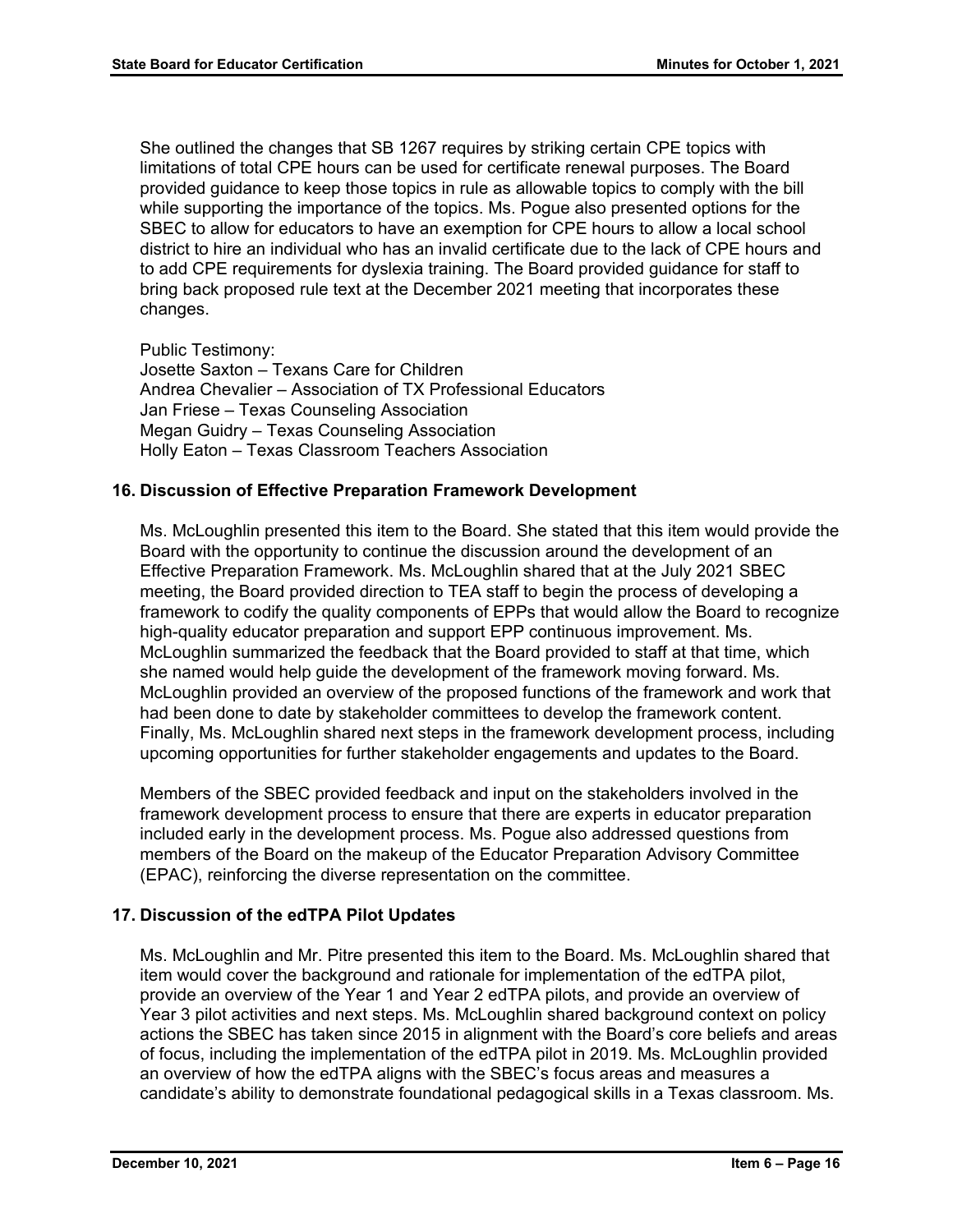She outlined the changes that SB 1267 requires by striking certain CPE topics with limitations of total CPE hours can be used for certificate renewal purposes. The Board provided guidance to keep those topics in rule as allowable topics to comply with the bill while supporting the importance of the topics. Ms. Pogue also presented options for the SBEC to allow for educators to have an exemption for CPE hours to allow a local school district to hire an individual who has an invalid certificate due to the lack of CPE hours and to add CPE requirements for dyslexia training. The Board provided guidance for staff to bring back proposed rule text at the December 2021 meeting that incorporates these changes.

Public Testimony:

Josette Saxton – Texans Care for Children Andrea Chevalier – Association of TX Professional Educators Jan Friese – Texas Counseling Association Megan Guidry – Texas Counseling Association Holly Eaton – Texas Classroom Teachers Association

## **16. Discussion of Effective Preparation Framework Development**

Ms. McLoughlin presented this item to the Board. She stated that this item would provide the Board with the opportunity to continue the discussion around the development of an Effective Preparation Framework. Ms. McLoughlin shared that at the July 2021 SBEC meeting, the Board provided direction to TEA staff to begin the process of developing a framework to codify the quality components of EPPs that would allow the Board to recognize high-quality educator preparation and support EPP continuous improvement. Ms. McLoughlin summarized the feedback that the Board provided to staff at that time, which she named would help guide the development of the framework moving forward. Ms. McLoughlin provided an overview of the proposed functions of the framework and work that had been done to date by stakeholder committees to develop the framework content. Finally, Ms. McLoughlin shared next steps in the framework development process, including upcoming opportunities for further stakeholder engagements and updates to the Board.

Members of the SBEC provided feedback and input on the stakeholders involved in the framework development process to ensure that there are experts in educator preparation included early in the development process. Ms. Pogue also addressed questions from members of the Board on the makeup of the Educator Preparation Advisory Committee (EPAC), reinforcing the diverse representation on the committee.

## **17. Discussion of the edTPA Pilot Updates**

Ms. McLoughlin and Mr. Pitre presented this item to the Board. Ms. McLoughlin shared that item would cover the background and rationale for implementation of the edTPA pilot, provide an overview of the Year 1 and Year 2 edTPA pilots, and provide an overview of Year 3 pilot activities and next steps. Ms. McLoughlin shared background context on policy actions the SBEC has taken since 2015 in alignment with the Board's core beliefs and areas of focus, including the implementation of the edTPA pilot in 2019. Ms. McLoughlin provided an overview of how the edTPA aligns with the SBEC's focus areas and measures a candidate's ability to demonstrate foundational pedagogical skills in a Texas classroom. Ms.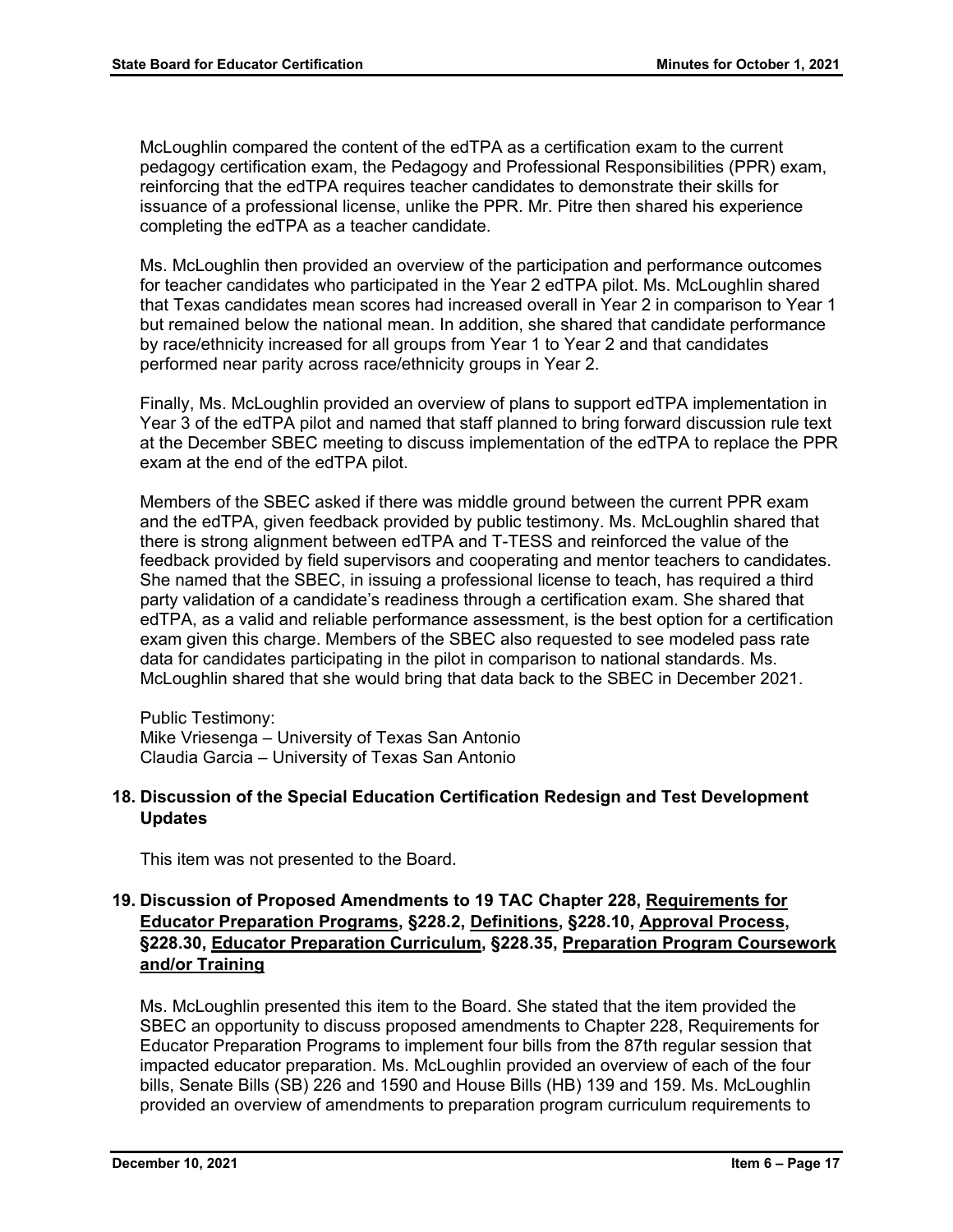McLoughlin compared the content of the edTPA as a certification exam to the current pedagogy certification exam, the Pedagogy and Professional Responsibilities (PPR) exam, reinforcing that the edTPA requires teacher candidates to demonstrate their skills for issuance of a professional license, unlike the PPR. Mr. Pitre then shared his experience completing the edTPA as a teacher candidate.

Ms. McLoughlin then provided an overview of the participation and performance outcomes for teacher candidates who participated in the Year 2 edTPA pilot. Ms. McLoughlin shared that Texas candidates mean scores had increased overall in Year 2 in comparison to Year 1 but remained below the national mean. In addition, she shared that candidate performance by race/ethnicity increased for all groups from Year 1 to Year 2 and that candidates performed near parity across race/ethnicity groups in Year 2.

Finally, Ms. McLoughlin provided an overview of plans to support edTPA implementation in Year 3 of the edTPA pilot and named that staff planned to bring forward discussion rule text at the December SBEC meeting to discuss implementation of the edTPA to replace the PPR exam at the end of the edTPA pilot.

Members of the SBEC asked if there was middle ground between the current PPR exam and the edTPA, given feedback provided by public testimony. Ms. McLoughlin shared that there is strong alignment between edTPA and T-TESS and reinforced the value of the feedback provided by field supervisors and cooperating and mentor teachers to candidates. She named that the SBEC, in issuing a professional license to teach, has required a third party validation of a candidate's readiness through a certification exam. She shared that edTPA, as a valid and reliable performance assessment, is the best option for a certification exam given this charge. Members of the SBEC also requested to see modeled pass rate data for candidates participating in the pilot in comparison to national standards. Ms. McLoughlin shared that she would bring that data back to the SBEC in December 2021.

Public Testimony: Mike Vriesenga – University of Texas San Antonio Claudia Garcia – University of Texas San Antonio

## **18. Discussion of the Special Education Certification Redesign and Test Development Updates**

This item was not presented to the Board.

# **19. Discussion of Proposed Amendments to 19 TAC Chapter 228, Requirements for Educator Preparation Programs, §228.2, Definitions, §228.10, Approval Process, §228.30, Educator Preparation Curriculum, §228.35, Preparation Program Coursework and/or Training**

Ms. McLoughlin presented this item to the Board. She stated that the item provided the SBEC an opportunity to discuss proposed amendments to Chapter 228, Requirements for Educator Preparation Programs to implement four bills from the 87th regular session that impacted educator preparation. Ms. McLoughlin provided an overview of each of the four bills, Senate Bills (SB) 226 and 1590 and House Bills (HB) 139 and 159. Ms. McLoughlin provided an overview of amendments to preparation program curriculum requirements to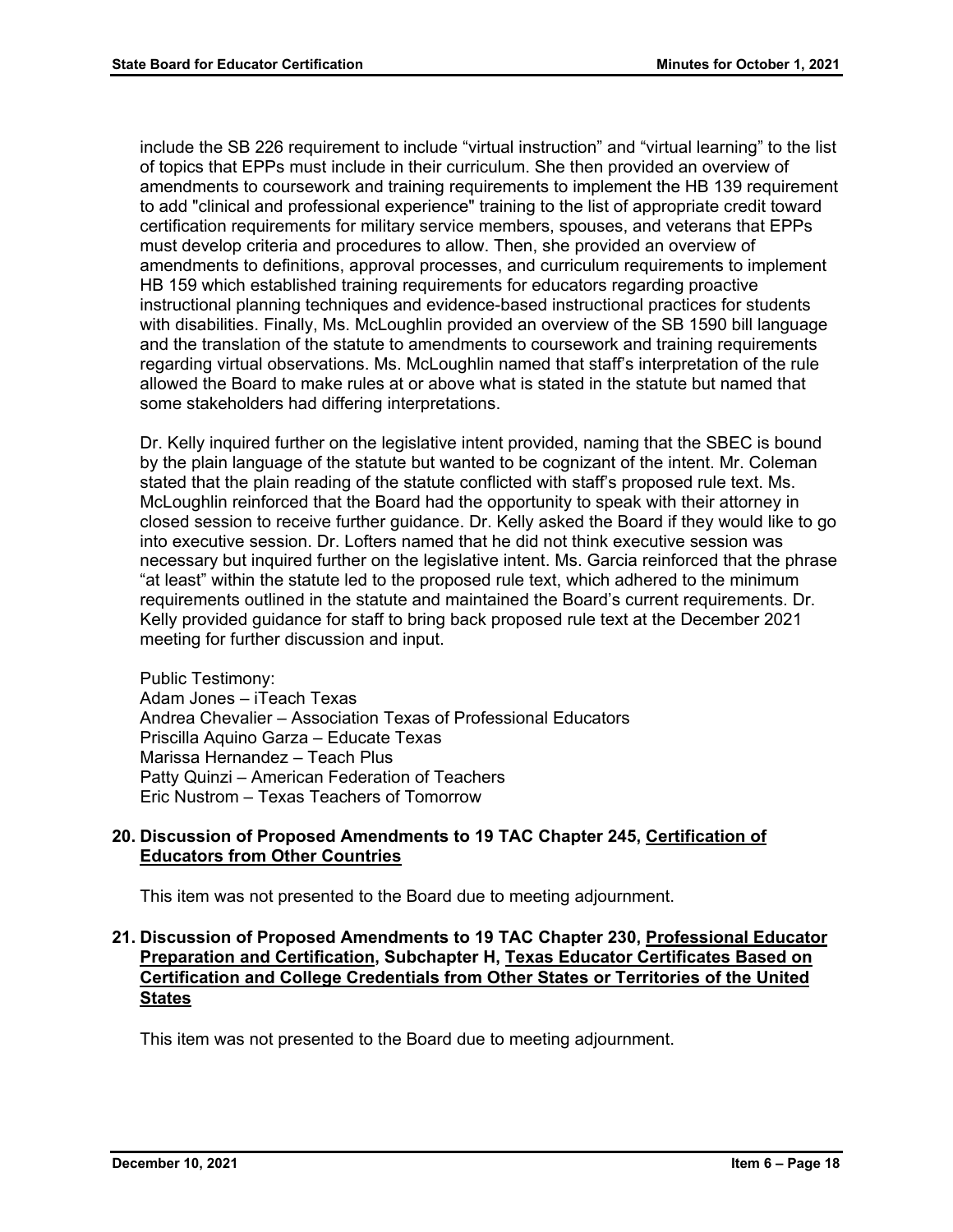include the SB 226 requirement to include "virtual instruction" and "virtual learning" to the list of topics that EPPs must include in their curriculum. She then provided an overview of amendments to coursework and training requirements to implement the HB 139 requirement to add "clinical and professional experience" training to the list of appropriate credit toward certification requirements for military service members, spouses, and veterans that EPPs must develop criteria and procedures to allow. Then, she provided an overview of amendments to definitions, approval processes, and curriculum requirements to implement HB 159 which established training requirements for educators regarding proactive instructional planning techniques and evidence-based instructional practices for students with disabilities. Finally, Ms. McLoughlin provided an overview of the SB 1590 bill language and the translation of the statute to amendments to coursework and training requirements regarding virtual observations. Ms. McLoughlin named that staff's interpretation of the rule allowed the Board to make rules at or above what is stated in the statute but named that some stakeholders had differing interpretations.

Dr. Kelly inquired further on the legislative intent provided, naming that the SBEC is bound by the plain language of the statute but wanted to be cognizant of the intent. Mr. Coleman stated that the plain reading of the statute conflicted with staff's proposed rule text. Ms. McLoughlin reinforced that the Board had the opportunity to speak with their attorney in closed session to receive further guidance. Dr. Kelly asked the Board if they would like to go into executive session. Dr. Lofters named that he did not think executive session was necessary but inquired further on the legislative intent. Ms. Garcia reinforced that the phrase "at least" within the statute led to the proposed rule text, which adhered to the minimum requirements outlined in the statute and maintained the Board's current requirements. Dr. Kelly provided guidance for staff to bring back proposed rule text at the December 2021 meeting for further discussion and input.

Public Testimony: Adam Jones – iTeach Texas Andrea Chevalier – Association Texas of Professional Educators Priscilla Aquino Garza – Educate Texas Marissa Hernandez – Teach Plus Patty Quinzi – American Federation of Teachers Eric Nustrom – Texas Teachers of Tomorrow

## **20. Discussion of Proposed Amendments to 19 TAC Chapter 245, Certification of Educators from Other Countries**

This item was not presented to the Board due to meeting adjournment.

## **21. Discussion of Proposed Amendments to 19 TAC Chapter 230, Professional Educator Preparation and Certification, Subchapter H, Texas Educator Certificates Based on Certification and College Credentials from Other States or Territories of the United States**

This item was not presented to the Board due to meeting adjournment.